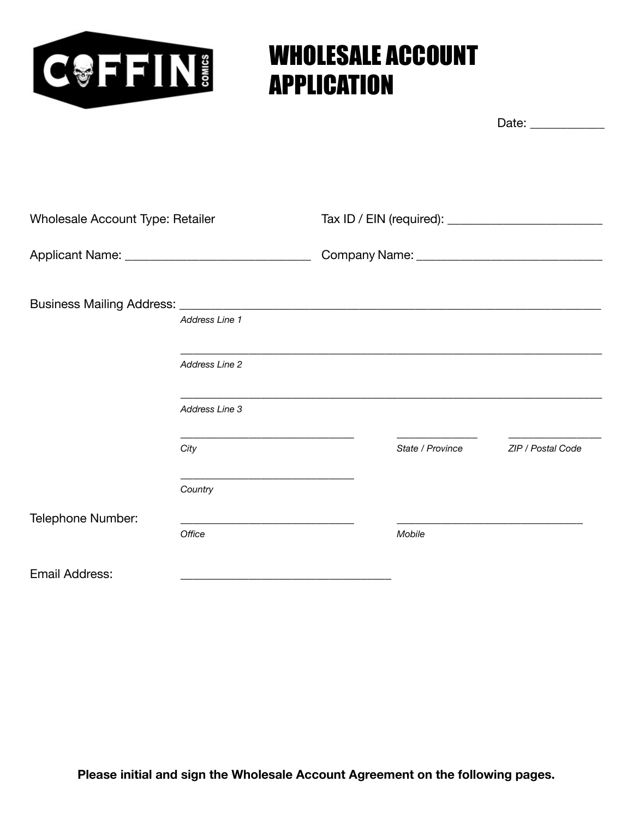

# WHOLESALE ACCOUNT APPLICATION

Date: \_\_\_\_\_\_\_\_\_\_\_\_

| <b>Wholesale Account Type: Retailer</b>             |                |  |                  |                   |
|-----------------------------------------------------|----------------|--|------------------|-------------------|
| Applicant Name: ___________________________________ |                |  |                  |                   |
|                                                     |                |  |                  |                   |
|                                                     | Address Line 1 |  |                  |                   |
|                                                     | Address Line 2 |  |                  |                   |
|                                                     | Address Line 3 |  |                  |                   |
|                                                     | City           |  | State / Province | ZIP / Postal Code |
|                                                     | Country        |  |                  |                   |
| Telephone Number:                                   |                |  |                  |                   |
|                                                     | Office         |  | Mobile           |                   |
| <b>Email Address:</b>                               |                |  |                  |                   |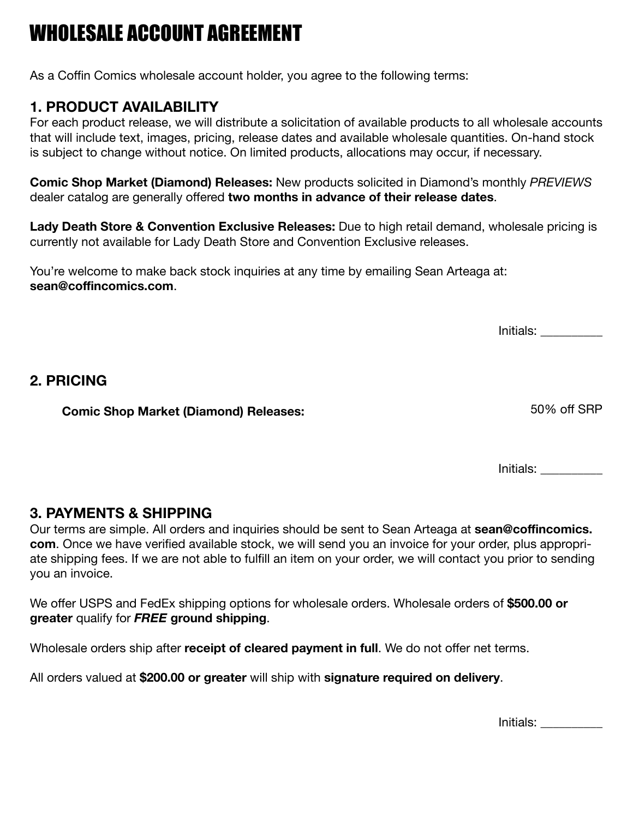## WHOLESALE ACCOUNT AGREEMENT

As a Coffin Comics wholesale account holder, you agree to the following terms:

#### **1. PRODUCT AVAILABILITY**

For each product release, we will distribute a solicitation of available products to all wholesale accounts that will include text, images, pricing, release dates and available wholesale quantities. On-hand stock is subject to change without notice. On limited products, allocations may occur, if necessary.

**Comic Shop Market (Diamond) Releases:** New products solicited in Diamond's monthly *PREVIEWS* dealer catalog are generally offered **two months in advance of their release dates**.

**Lady Death Store & Convention Exclusive Releases:** Due to high retail demand, wholesale pricing is currently not available for Lady Death Store and Convention Exclusive releases.

You're welcome to make back stock inquiries at any time by emailing Sean Arteaga at: **sean@coffincomics.com**.

Initials: \_\_\_\_\_\_\_\_\_\_

#### **2. PRICING**

**Comic Shop Market (Diamond) Releases:** 50% off SRP

Initials: \_\_\_\_\_\_\_\_\_\_

#### **3. PAYMENTS & SHIPPING**

Our terms are simple. All orders and inquiries should be sent to Sean Arteaga at **sean@coffincomics. com**. Once we have verified available stock, we will send you an invoice for your order, plus appropriate shipping fees. If we are not able to fulfill an item on your order, we will contact you prior to sending you an invoice.

We offer USPS and FedEx shipping options for wholesale orders. Wholesale orders of **\$500.00 or greater** qualify for *FREE* **ground shipping**.

Wholesale orders ship after **receipt of cleared payment in full**. We do not offer net terms.

All orders valued at **\$200.00 or greater** will ship with **signature required on delivery**.

Initials: \_\_\_\_\_\_\_\_\_\_